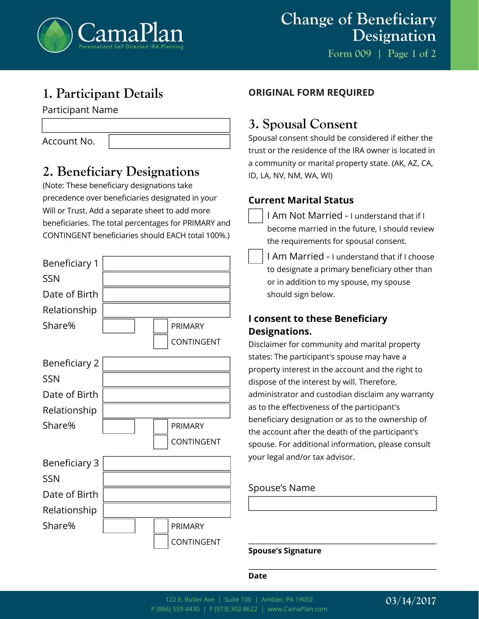

**Form 009 | Page 1 of 2**

# **1. Participant Details**

Participant Name

Account No.

## **2. Beneficiary Designations**

(Note: These beneficiary designations take precedence over beneficiaries designated in your Will or Trust. Add a separate sheet to add more beneficiaries. The total percentages for PRIMARY and CONTINGENT beneficiaries should EACH total 100%.)

| Beneficiary 1        |  |            |
|----------------------|--|------------|
| <b>SSN</b>           |  |            |
| Date of Birth        |  |            |
| Relationship         |  |            |
| Share%               |  | PRIMARY    |
|                      |  | CONTINGENT |
| <b>Beneficiary 2</b> |  |            |
| <b>SSN</b>           |  |            |
| Date of Birth        |  |            |
| Relationship         |  |            |
| Share%               |  | PRIMARY    |
|                      |  | CONTINGENT |
| <b>Beneficiary 3</b> |  |            |
| SSN                  |  |            |
| Date of Birth        |  |            |
| Relationship         |  |            |
| Share%               |  | PRIMARY    |
|                      |  | CONTINGENT |

### **ORIGINAL FORM REQUIRED**

## **3. Spousal Consent**

Spousal consent should be considered if either the trust or the residence of the IRA owner is located in a community or marital property state. (AK, AZ, CA, ID, LA, NV, NM, WA, WI)

### **Current Marital Status**

- I Am Not Married I understand that if I become married in the future, I should review the requirements for spousal consent.
- I Am Married I understand that if I choose to designate a primary beneficiary other than or in addition to my spouse, my spouse should sign below.

### **I consent to these Beneficiary Designations.**

Disclaimer for community and marital property states: The participant's spouse may have a property interest in the account and the right to dispose of the interest by will. Therefore, administrator and custodian disclaim any warranty as to the effectiveness of the participant's beneficiary designation or as to the ownership of the account after the death of the participant's spouse. For additional information, please consult your legal and/or tax advisor.

### Spouse's Name

**Spouse's Signature**

#### **Date**

### **03/14/2017**